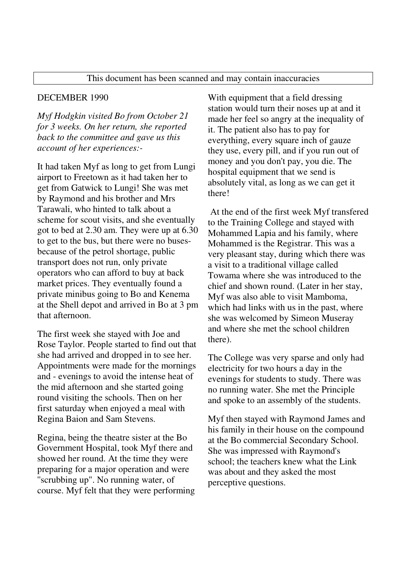## This document has been scanned and may contain inaccuracies

## DECEMBER 1990

*Myf Hodgkin visited Bo from October 21 for 3 weeks. On her return, she reported back to the committee and gave us this account of her experiences:-* 

It had taken Myf as long to get from Lungi airport to Freetown as it had taken her to get from Gatwick to Lungi! She was met by Raymond and his brother and Mrs Tarawali, who hinted to talk about a scheme for scout visits, and she eventually got to bed at 2.30 am. They were up at 6.30 to get to the bus, but there were no busesbecause of the petrol shortage, public transport does not run, only private operators who can afford to buy at back market prices. They eventually found a private minibus going to Bo and Kenema at the Shell depot and arrived in Bo at 3 pm that afternoon.

The first week she stayed with Joe and Rose Taylor. People started to find out that she had arrived and dropped in to see her. Appointments were made for the mornings and - evenings to avoid the intense heat of the mid afternoon and she started going round visiting the schools. Then on her first saturday when enjoyed a meal with Regina Baion and Sam Stevens.

Regina, being the theatre sister at the Bo Government Hospital, took Myf there and showed her round. At the time they were preparing for a major operation and were ''scrubbing up". No running water, of course. Myf felt that they were performing

With equipment that a field dressing station would turn their noses up at and it made her feel so angry at the inequality of it. The patient also has to pay for everything, every square inch of gauze they use, every pill, and if you run out of money and you don't pay, you die. The hospital equipment that we send is absolutely vital, as long as we can get it there!

 At the end of the first week Myf transfered to the Training College and stayed with Mohammed Lapia and his family, where Mohammed is the Registrar. This was a very pleasant stay, during which there was a visit to a traditional village called Towama where she was introduced to the chief and shown round. (Later in her stay, Myf was also able to visit Mamboma, which had links with us in the past, where she was welcomed by Simeon Museray and where she met the school children there).

The College was very sparse and only had electricity for two hours a day in the evenings for students to study. There was no running water. She met the Principle and spoke to an assembly of the students.

Myf then stayed with Raymond James and his family in their house on the compound at the Bo commercial Secondary School. She was impressed with Raymond's school; the teachers knew what the Link was about and they asked the most perceptive questions.